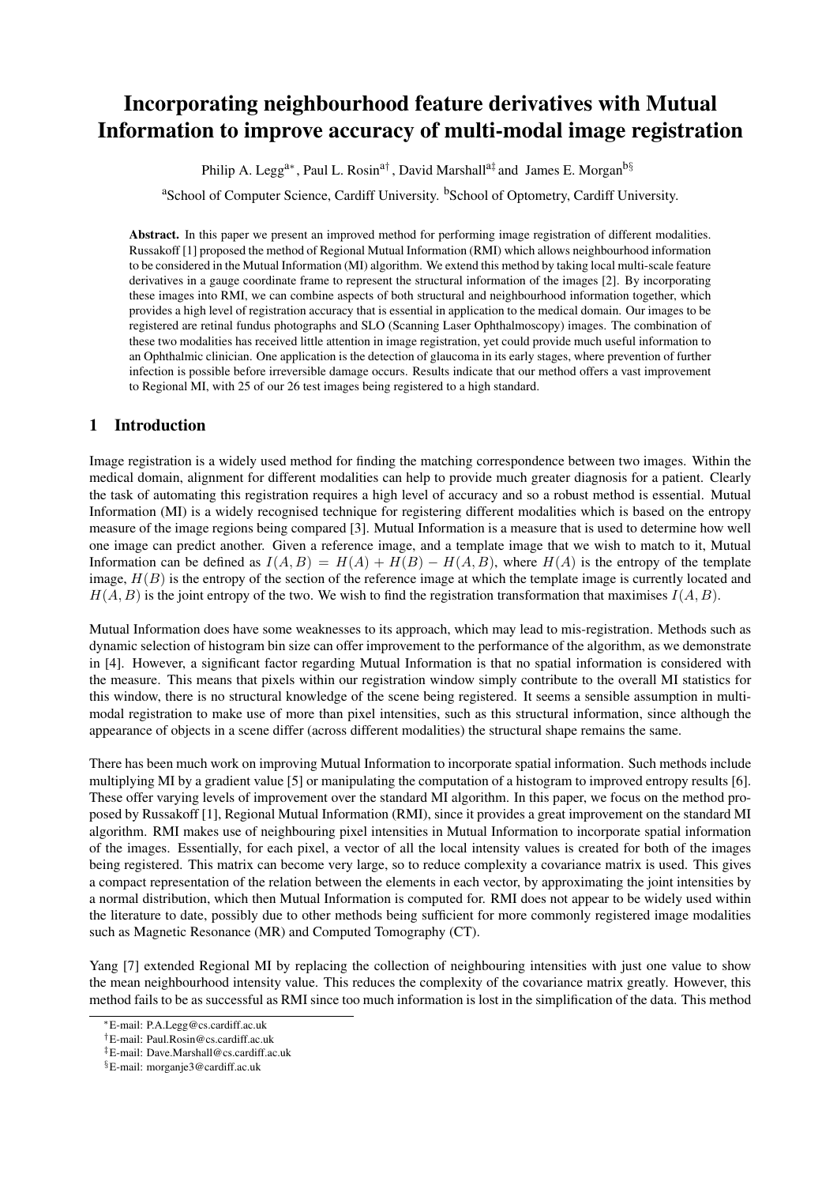# Incorporating neighbourhood feature derivatives with Mutual Information to improve accuracy of multi-modal image registration

Philip A. Legg<sup>a∗</sup>, Paul L. Rosin<sup>a†</sup>, David Marshall<sup>a‡</sup> and James E. Morgan<sup>b§</sup>

<sup>a</sup>School of Computer Science, Cardiff University, <sup>b</sup>School of Optometry, Cardiff University.

Abstract. In this paper we present an improved method for performing image registration of different modalities. Russakoff [1] proposed the method of Regional Mutual Information (RMI) which allows neighbourhood information to be considered in the Mutual Information (MI) algorithm. We extend this method by taking local multi-scale feature derivatives in a gauge coordinate frame to represent the structural information of the images [2]. By incorporating these images into RMI, we can combine aspects of both structural and neighbourhood information together, which provides a high level of registration accuracy that is essential in application to the medical domain. Our images to be registered are retinal fundus photographs and SLO (Scanning Laser Ophthalmoscopy) images. The combination of these two modalities has received little attention in image registration, yet could provide much useful information to an Ophthalmic clinician. One application is the detection of glaucoma in its early stages, where prevention of further infection is possible before irreversible damage occurs. Results indicate that our method offers a vast improvement to Regional MI, with 25 of our 26 test images being registered to a high standard.

## 1 Introduction

Image registration is a widely used method for finding the matching correspondence between two images. Within the medical domain, alignment for different modalities can help to provide much greater diagnosis for a patient. Clearly the task of automating this registration requires a high level of accuracy and so a robust method is essential. Mutual Information (MI) is a widely recognised technique for registering different modalities which is based on the entropy measure of the image regions being compared [3]. Mutual Information is a measure that is used to determine how well one image can predict another. Given a reference image, and a template image that we wish to match to it, Mutual Information can be defined as  $I(A, B) = H(A) + H(B) - H(A, B)$ , where  $H(A)$  is the entropy of the template image,  $H(B)$  is the entropy of the section of the reference image at which the template image is currently located and  $H(A, B)$  is the joint entropy of the two. We wish to find the registration transformation that maximises  $I(A, B)$ .

Mutual Information does have some weaknesses to its approach, which may lead to mis-registration. Methods such as dynamic selection of histogram bin size can offer improvement to the performance of the algorithm, as we demonstrate in [4]. However, a significant factor regarding Mutual Information is that no spatial information is considered with the measure. This means that pixels within our registration window simply contribute to the overall MI statistics for this window, there is no structural knowledge of the scene being registered. It seems a sensible assumption in multimodal registration to make use of more than pixel intensities, such as this structural information, since although the appearance of objects in a scene differ (across different modalities) the structural shape remains the same.

There has been much work on improving Mutual Information to incorporate spatial information. Such methods include multiplying MI by a gradient value [5] or manipulating the computation of a histogram to improved entropy results [6]. These offer varying levels of improvement over the standard MI algorithm. In this paper, we focus on the method proposed by Russakoff [1], Regional Mutual Information (RMI), since it provides a great improvement on the standard MI algorithm. RMI makes use of neighbouring pixel intensities in Mutual Information to incorporate spatial information of the images. Essentially, for each pixel, a vector of all the local intensity values is created for both of the images being registered. This matrix can become very large, so to reduce complexity a covariance matrix is used. This gives a compact representation of the relation between the elements in each vector, by approximating the joint intensities by a normal distribution, which then Mutual Information is computed for. RMI does not appear to be widely used within the literature to date, possibly due to other methods being sufficient for more commonly registered image modalities such as Magnetic Resonance (MR) and Computed Tomography (CT).

Yang [7] extended Regional MI by replacing the collection of neighbouring intensities with just one value to show the mean neighbourhood intensity value. This reduces the complexity of the covariance matrix greatly. However, this method fails to be as successful as RMI since too much information is lost in the simplification of the data. This method

<sup>∗</sup>E-mail: P.A.Legg@cs.cardiff.ac.uk

<sup>†</sup>E-mail: Paul.Rosin@cs.cardiff.ac.uk

<sup>‡</sup>E-mail: Dave.Marshall@cs.cardiff.ac.uk

<sup>§</sup>E-mail: morganje3@cardiff.ac.uk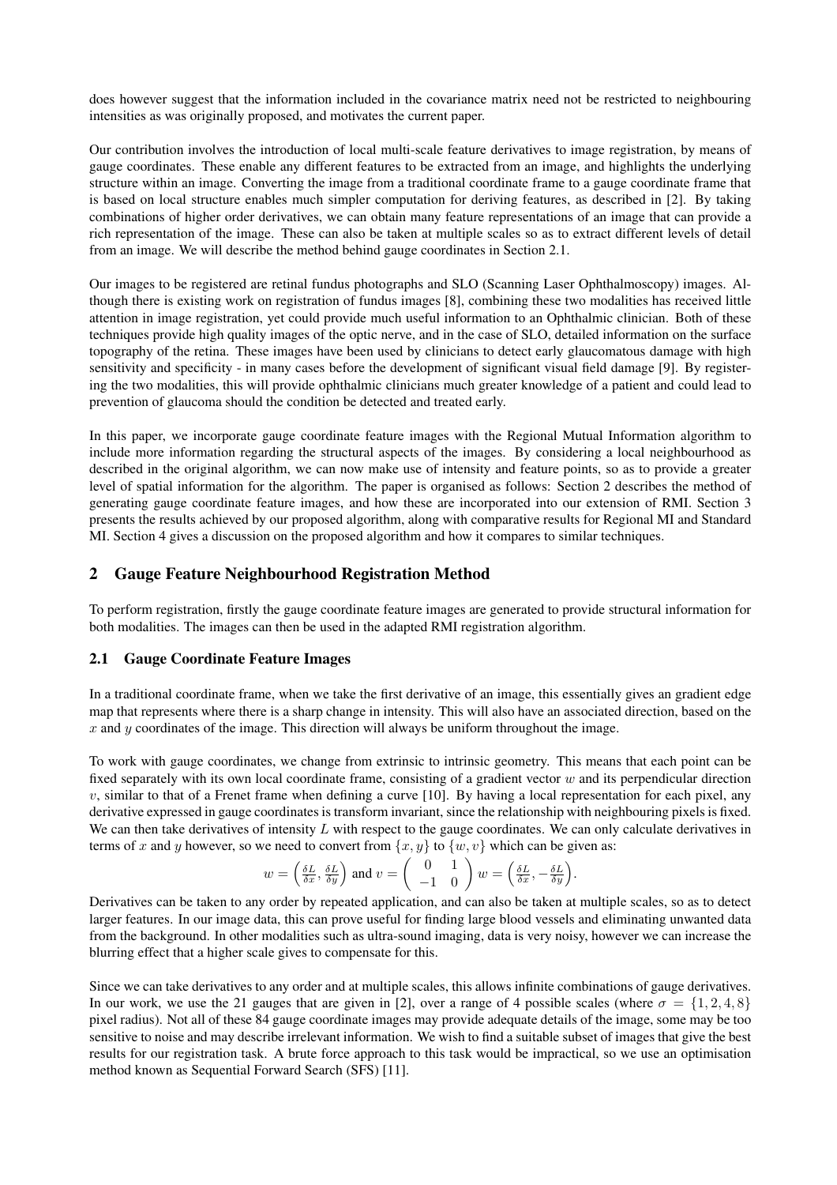does however suggest that the information included in the covariance matrix need not be restricted to neighbouring intensities as was originally proposed, and motivates the current paper.

Our contribution involves the introduction of local multi-scale feature derivatives to image registration, by means of gauge coordinates. These enable any different features to be extracted from an image, and highlights the underlying structure within an image. Converting the image from a traditional coordinate frame to a gauge coordinate frame that is based on local structure enables much simpler computation for deriving features, as described in [2]. By taking combinations of higher order derivatives, we can obtain many feature representations of an image that can provide a rich representation of the image. These can also be taken at multiple scales so as to extract different levels of detail from an image. We will describe the method behind gauge coordinates in Section 2.1.

Our images to be registered are retinal fundus photographs and SLO (Scanning Laser Ophthalmoscopy) images. Although there is existing work on registration of fundus images [8], combining these two modalities has received little attention in image registration, yet could provide much useful information to an Ophthalmic clinician. Both of these techniques provide high quality images of the optic nerve, and in the case of SLO, detailed information on the surface topography of the retina. These images have been used by clinicians to detect early glaucomatous damage with high sensitivity and specificity - in many cases before the development of significant visual field damage [9]. By registering the two modalities, this will provide ophthalmic clinicians much greater knowledge of a patient and could lead to prevention of glaucoma should the condition be detected and treated early.

In this paper, we incorporate gauge coordinate feature images with the Regional Mutual Information algorithm to include more information regarding the structural aspects of the images. By considering a local neighbourhood as described in the original algorithm, we can now make use of intensity and feature points, so as to provide a greater level of spatial information for the algorithm. The paper is organised as follows: Section 2 describes the method of generating gauge coordinate feature images, and how these are incorporated into our extension of RMI. Section 3 presents the results achieved by our proposed algorithm, along with comparative results for Regional MI and Standard MI. Section 4 gives a discussion on the proposed algorithm and how it compares to similar techniques.

## 2 Gauge Feature Neighbourhood Registration Method

To perform registration, firstly the gauge coordinate feature images are generated to provide structural information for both modalities. The images can then be used in the adapted RMI registration algorithm.

#### 2.1 Gauge Coordinate Feature Images

In a traditional coordinate frame, when we take the first derivative of an image, this essentially gives an gradient edge map that represents where there is a sharp change in intensity. This will also have an associated direction, based on the  $x$  and  $y$  coordinates of the image. This direction will always be uniform throughout the image.

To work with gauge coordinates, we change from extrinsic to intrinsic geometry. This means that each point can be fixed separately with its own local coordinate frame, consisting of a gradient vector  $w$  and its perpendicular direction  $v$ , similar to that of a Frenet frame when defining a curve [10]. By having a local representation for each pixel, any derivative expressed in gauge coordinates is transform invariant, since the relationship with neighbouring pixels is fixed. We can then take derivatives of intensity  $L$  with respect to the gauge coordinates. We can only calculate derivatives in terms of x and y however, so we need to convert from  $\{x, y\}$  to  $\{w, v\}$  which can be given as:

We need to convert from 
$$
\{x, y\}
$$
 to  $\{w, v\}$  which can be given  

$$
w = \left(\frac{\delta L}{\delta x}, \frac{\delta L}{\delta y}\right) \text{ and } v = \left(\begin{array}{c} 0 & 1 \\ -1 & 0 \end{array}\right) w = \left(\frac{\delta L}{\delta x}, -\frac{\delta L}{\delta y}\right).
$$

Derivatives can be taken to any order by repeated application, and can also be taken at multiple scales, so as to detect larger features. In our image data, this can prove useful for finding large blood vessels and eliminating unwanted data from the background. In other modalities such as ultra-sound imaging, data is very noisy, however we can increase the blurring effect that a higher scale gives to compensate for this.

Since we can take derivatives to any order and at multiple scales, this allows infinite combinations of gauge derivatives. In our work, we use the 21 gauges that are given in [2], over a range of 4 possible scales (where  $\sigma = \{1, 2, 4, 8\}$ pixel radius). Not all of these 84 gauge coordinate images may provide adequate details of the image, some may be too sensitive to noise and may describe irrelevant information. We wish to find a suitable subset of images that give the best results for our registration task. A brute force approach to this task would be impractical, so we use an optimisation method known as Sequential Forward Search (SFS) [11].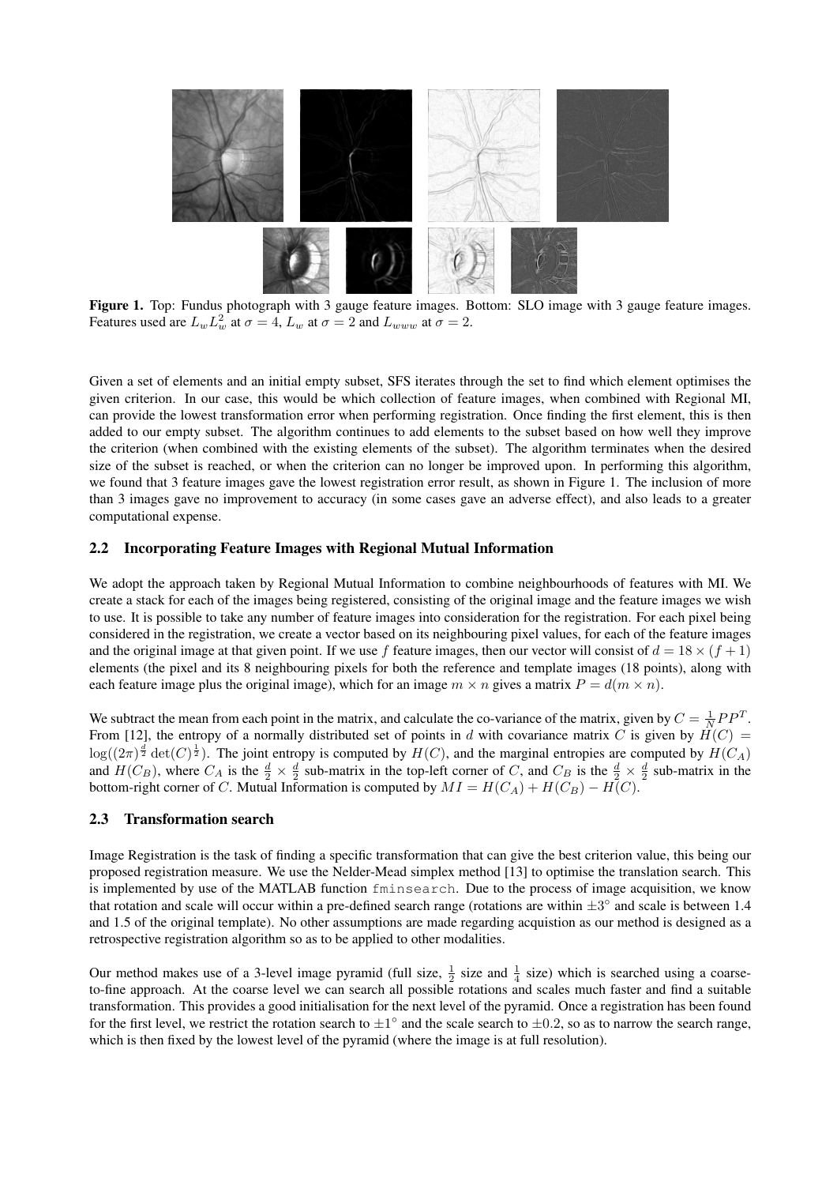

Figure 1. Top: Fundus photograph with 3 gauge feature images. Bottom: SLO image with 3 gauge feature images. Features used are  $L_w L_w^2$  at  $\sigma = 4$ ,  $L_w$  at  $\sigma = 2$  and  $L_{www}$  at  $\sigma = 2$ .

Given a set of elements and an initial empty subset, SFS iterates through the set to find which element optimises the given criterion. In our case, this would be which collection of feature images, when combined with Regional MI, can provide the lowest transformation error when performing registration. Once finding the first element, this is then added to our empty subset. The algorithm continues to add elements to the subset based on how well they improve the criterion (when combined with the existing elements of the subset). The algorithm terminates when the desired size of the subset is reached, or when the criterion can no longer be improved upon. In performing this algorithm, we found that 3 feature images gave the lowest registration error result, as shown in Figure 1. The inclusion of more than 3 images gave no improvement to accuracy (in some cases gave an adverse effect), and also leads to a greater computational expense.

#### 2.2 Incorporating Feature Images with Regional Mutual Information

We adopt the approach taken by Regional Mutual Information to combine neighbourhoods of features with MI. We create a stack for each of the images being registered, consisting of the original image and the feature images we wish to use. It is possible to take any number of feature images into consideration for the registration. For each pixel being considered in the registration, we create a vector based on its neighbouring pixel values, for each of the feature images and the original image at that given point. If we use f feature images, then our vector will consist of  $d = 18 \times (f + 1)$ elements (the pixel and its 8 neighbouring pixels for both the reference and template images (18 points), along with each feature image plus the original image), which for an image  $m \times n$  gives a matrix  $P = d(m \times n)$ .

We subtract the mean from each point in the matrix, and calculate the co-variance of the matrix, given by  $C = \frac{1}{N}PP^{T}$ . From [12], the entropy of a normally distributed set of points in d with covariance matrix C is given by  $\hat{H}(C)$  =  $\log((2\pi)^{\frac{d}{2}} \det(C)^{\frac{1}{2}})$ . The joint entropy is computed by  $H(C)$ , and the marginal entropies are computed by  $H(C_A)$ and  $H(C_B)$ , where  $C_A$  is the  $\frac{d}{2} \times \frac{d}{2}$  sub-matrix in the top-left corner of C, and  $C_B$  is the  $\frac{d}{2} \times \frac{d}{2}$  sub-matrix in the bottom-right corner of C. Mutual Information is computed by  $MI = H(C_A) + H(C_B) - H(C)$ .

#### 2.3 Transformation search

Image Registration is the task of finding a specific transformation that can give the best criterion value, this being our proposed registration measure. We use the Nelder-Mead simplex method [13] to optimise the translation search. This is implemented by use of the MATLAB function fminsearch. Due to the process of image acquisition, we know that rotation and scale will occur within a pre-defined search range (rotations are within  $\pm 3^{\circ}$  and scale is between 1.4 and 1.5 of the original template). No other assumptions are made regarding acquistion as our method is designed as a retrospective registration algorithm so as to be applied to other modalities.

Our method makes use of a 3-level image pyramid (full size,  $\frac{1}{2}$  size and  $\frac{1}{4}$  size) which is searched using a coarseto-fine approach. At the coarse level we can search all possible rotations and scales much faster and find a suitable transformation. This provides a good initialisation for the next level of the pyramid. Once a registration has been found for the first level, we restrict the rotation search to  $\pm 1^{\circ}$  and the scale search to  $\pm 0.2$ , so as to narrow the search range, which is then fixed by the lowest level of the pyramid (where the image is at full resolution).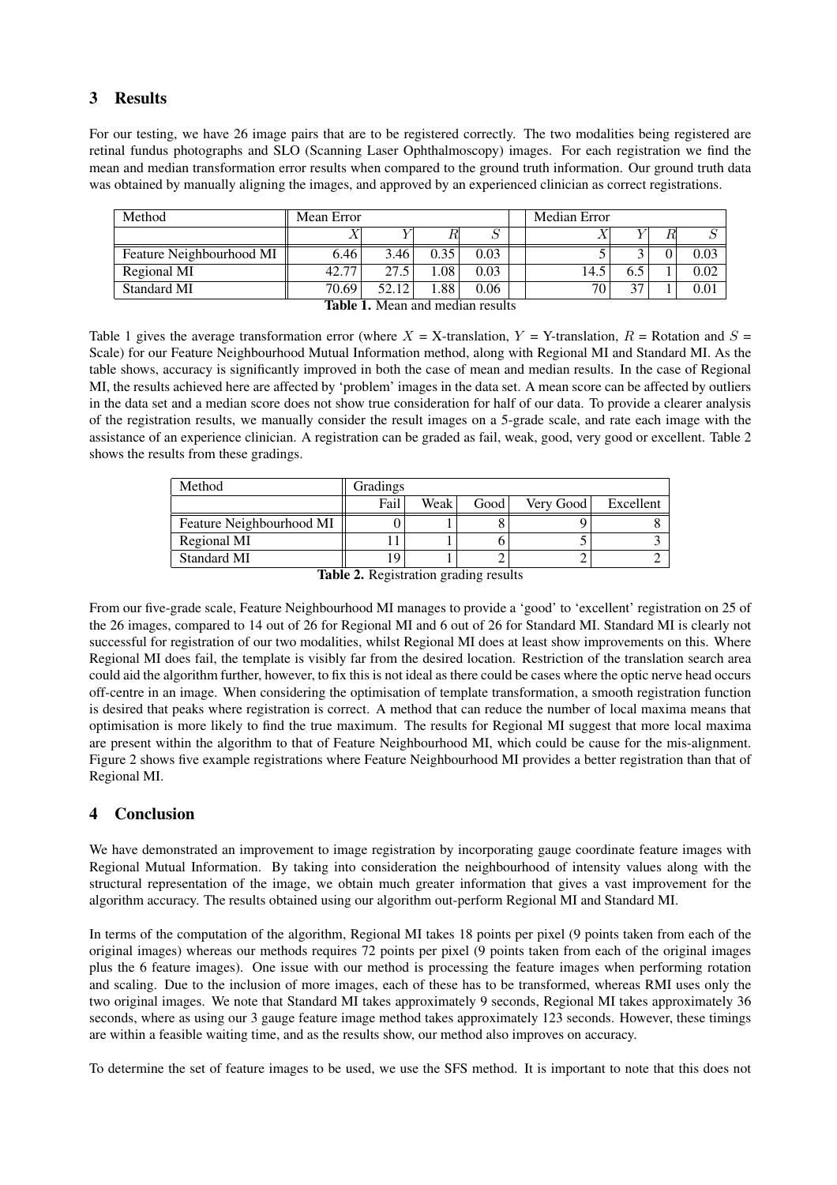# 3 Results

For our testing, we have 26 image pairs that are to be registered correctly. The two modalities being registered are retinal fundus photographs and SLO (Scanning Laser Ophthalmoscopy) images. For each registration we find the mean and median transformation error results when compared to the ground truth information. Our ground truth data was obtained by manually aligning the images, and approved by an experienced clinician as correct registrations.

| Method                          | Mean Error |       |      |      |  | Median Error    |     |  |      |  |  |
|---------------------------------|------------|-------|------|------|--|-----------------|-----|--|------|--|--|
|                                 |            |       |      |      |  |                 |     |  |      |  |  |
| Feature Neighbourhood MI        | 6.46       | 3.46  | 0.35 | 0.03 |  |                 |     |  | 0.03 |  |  |
| Regional MI                     | 42.77      | 27.5  | 0.08 | 0.03 |  | 14.5            | 6.5 |  | 0.02 |  |  |
| Standard MI                     | 70.69      | 52.12 | 1.88 | 0.06 |  | 70 <sub>1</sub> | 37  |  | 0.01 |  |  |
| Table 1 Moon and modian recults |            |       |      |      |  |                 |     |  |      |  |  |

Table 1. Mean and median results

Table 1 gives the average transformation error (where  $X = X$ -translation,  $Y = Y$ -translation,  $R =$  Rotation and  $S =$ Scale) for our Feature Neighbourhood Mutual Information method, along with Regional MI and Standard MI. As the table shows, accuracy is significantly improved in both the case of mean and median results. In the case of Regional MI, the results achieved here are affected by 'problem' images in the data set. A mean score can be affected by outliers in the data set and a median score does not show true consideration for half of our data. To provide a clearer analysis of the registration results, we manually consider the result images on a 5-grade scale, and rate each image with the assistance of an experience clinician. A registration can be graded as fail, weak, good, very good or excellent. Table 2 shows the results from these gradings.

| Method                   | <b>Gradings</b> |      |      |           |           |
|--------------------------|-----------------|------|------|-----------|-----------|
|                          | Fail            | Weak | Good | Very Good | Excellent |
| Feature Neighbourhood MI |                 |      |      |           |           |
| Regional MI              |                 |      |      |           |           |
| Standard MI              |                 |      |      |           |           |

Table 2. Registration grading results

From our five-grade scale, Feature Neighbourhood MI manages to provide a 'good' to 'excellent' registration on 25 of the 26 images, compared to 14 out of 26 for Regional MI and 6 out of 26 for Standard MI. Standard MI is clearly not successful for registration of our two modalities, whilst Regional MI does at least show improvements on this. Where Regional MI does fail, the template is visibly far from the desired location. Restriction of the translation search area could aid the algorithm further, however, to fix this is not ideal as there could be cases where the optic nerve head occurs off-centre in an image. When considering the optimisation of template transformation, a smooth registration function is desired that peaks where registration is correct. A method that can reduce the number of local maxima means that optimisation is more likely to find the true maximum. The results for Regional MI suggest that more local maxima are present within the algorithm to that of Feature Neighbourhood MI, which could be cause for the mis-alignment. Figure 2 shows five example registrations where Feature Neighbourhood MI provides a better registration than that of Regional MI.

## 4 Conclusion

We have demonstrated an improvement to image registration by incorporating gauge coordinate feature images with Regional Mutual Information. By taking into consideration the neighbourhood of intensity values along with the structural representation of the image, we obtain much greater information that gives a vast improvement for the algorithm accuracy. The results obtained using our algorithm out-perform Regional MI and Standard MI.

In terms of the computation of the algorithm, Regional MI takes 18 points per pixel (9 points taken from each of the original images) whereas our methods requires 72 points per pixel (9 points taken from each of the original images plus the 6 feature images). One issue with our method is processing the feature images when performing rotation and scaling. Due to the inclusion of more images, each of these has to be transformed, whereas RMI uses only the two original images. We note that Standard MI takes approximately 9 seconds, Regional MI takes approximately 36 seconds, where as using our 3 gauge feature image method takes approximately 123 seconds. However, these timings are within a feasible waiting time, and as the results show, our method also improves on accuracy.

To determine the set of feature images to be used, we use the SFS method. It is important to note that this does not